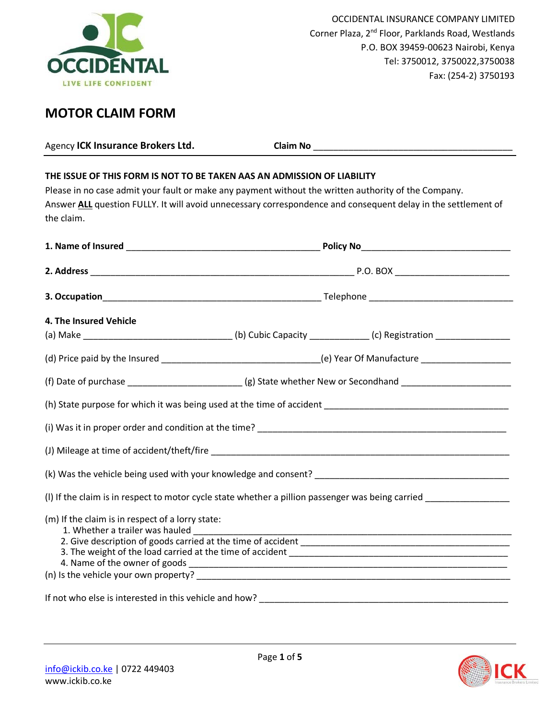

# **MOTOR CLAIM FORM**

| Agency ICK Insurance Brokers Ltd.                                                                                                                                                                                                                                                                              |                                                                                                                     |  |
|----------------------------------------------------------------------------------------------------------------------------------------------------------------------------------------------------------------------------------------------------------------------------------------------------------------|---------------------------------------------------------------------------------------------------------------------|--|
| THE ISSUE OF THIS FORM IS NOT TO BE TAKEN AAS AN ADMISSION OF LIABILITY<br>Please in no case admit your fault or make any payment without the written authority of the Company.<br>Answer ALL question FULLY. It will avoid unnecessary correspondence and consequent delay in the settlement of<br>the claim. |                                                                                                                     |  |
|                                                                                                                                                                                                                                                                                                                |                                                                                                                     |  |
|                                                                                                                                                                                                                                                                                                                |                                                                                                                     |  |
|                                                                                                                                                                                                                                                                                                                |                                                                                                                     |  |
| 4. The Insured Vehicle                                                                                                                                                                                                                                                                                         | (a) Make _________________________________(b) Cubic Capacity _____________(c) Registration _______________          |  |
|                                                                                                                                                                                                                                                                                                                | (d) Price paid by the Insured __________________________________(e) Year Of Manufacture ______________________      |  |
|                                                                                                                                                                                                                                                                                                                |                                                                                                                     |  |
|                                                                                                                                                                                                                                                                                                                |                                                                                                                     |  |
|                                                                                                                                                                                                                                                                                                                |                                                                                                                     |  |
|                                                                                                                                                                                                                                                                                                                |                                                                                                                     |  |
|                                                                                                                                                                                                                                                                                                                |                                                                                                                     |  |
|                                                                                                                                                                                                                                                                                                                | (I) If the claim is in respect to motor cycle state whether a pillion passenger was being carried _________________ |  |
| (m) If the claim is in respect of a lorry state:<br>1. Whether a trailer was hauled                                                                                                                                                                                                                            | <u> 1990 - Johann John Stone, mars et al. (1990)</u>                                                                |  |

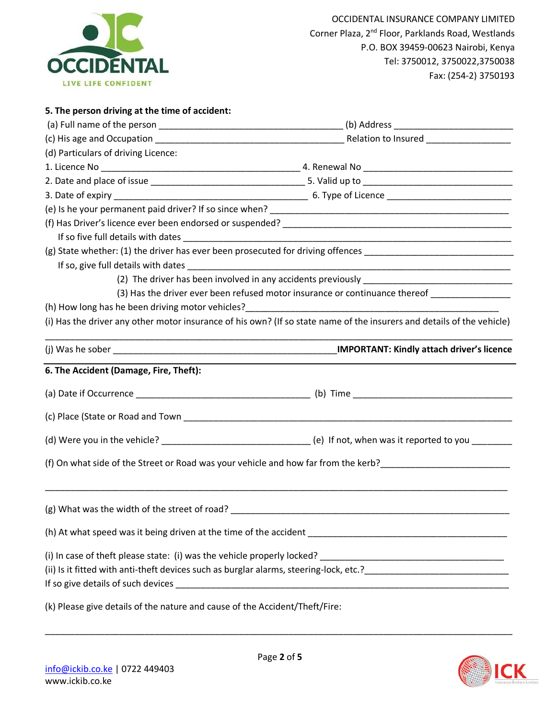

## **5. The person driving at the time of accident:**

| (d) Particulars of driving Licence:                                              |                                                                                                                        |  |  |
|----------------------------------------------------------------------------------|------------------------------------------------------------------------------------------------------------------------|--|--|
|                                                                                  |                                                                                                                        |  |  |
|                                                                                  |                                                                                                                        |  |  |
|                                                                                  |                                                                                                                        |  |  |
|                                                                                  |                                                                                                                        |  |  |
|                                                                                  |                                                                                                                        |  |  |
|                                                                                  |                                                                                                                        |  |  |
|                                                                                  |                                                                                                                        |  |  |
|                                                                                  |                                                                                                                        |  |  |
|                                                                                  |                                                                                                                        |  |  |
|                                                                                  | (3) Has the driver ever been refused motor insurance or continuance thereof ________________                           |  |  |
|                                                                                  |                                                                                                                        |  |  |
|                                                                                  | (i) Has the driver any other motor insurance of his own? (If so state name of the insurers and details of the vehicle) |  |  |
|                                                                                  |                                                                                                                        |  |  |
| 6. The Accident (Damage, Fire, Theft):                                           |                                                                                                                        |  |  |
|                                                                                  |                                                                                                                        |  |  |
|                                                                                  |                                                                                                                        |  |  |
|                                                                                  |                                                                                                                        |  |  |
|                                                                                  |                                                                                                                        |  |  |
|                                                                                  |                                                                                                                        |  |  |
| (g) What was the width of the street of road? __________________________________ |                                                                                                                        |  |  |
|                                                                                  |                                                                                                                        |  |  |
|                                                                                  |                                                                                                                        |  |  |
|                                                                                  |                                                                                                                        |  |  |
|                                                                                  |                                                                                                                        |  |  |
| (k) Please give details of the nature and cause of the Accident/Theft/Fire:      |                                                                                                                        |  |  |



\_\_\_\_\_\_\_\_\_\_\_\_\_\_\_\_\_\_\_\_\_\_\_\_\_\_\_\_\_\_\_\_\_\_\_\_\_\_\_\_\_\_\_\_\_\_\_\_\_\_\_\_\_\_\_\_\_\_\_\_\_\_\_\_\_\_\_\_\_\_\_\_\_\_\_\_\_\_\_\_\_\_\_\_\_\_\_\_\_\_\_\_\_\_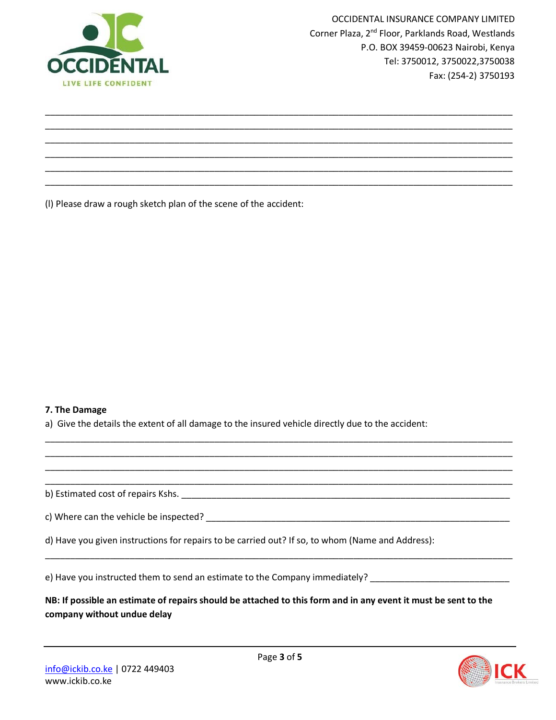

(l) Please draw a rough sketch plan of the scene of the accident:

#### **7. The Damage**

a) Give the details the extent of all damage to the insured vehicle directly due to the accident:



\_\_\_\_\_\_\_\_\_\_\_\_\_\_\_\_\_\_\_\_\_\_\_\_\_\_\_\_\_\_\_\_\_\_\_\_\_\_\_\_\_\_\_\_\_\_\_\_\_\_\_\_\_\_\_\_\_\_\_\_\_\_\_\_\_\_\_\_\_\_\_\_\_\_\_\_\_\_\_\_\_\_\_\_\_\_\_\_\_\_\_\_\_\_ \_\_\_\_\_\_\_\_\_\_\_\_\_\_\_\_\_\_\_\_\_\_\_\_\_\_\_\_\_\_\_\_\_\_\_\_\_\_\_\_\_\_\_\_\_\_\_\_\_\_\_\_\_\_\_\_\_\_\_\_\_\_\_\_\_\_\_\_\_\_\_\_\_\_\_\_\_\_\_\_\_\_\_\_\_\_\_\_\_\_\_\_\_\_ \_\_\_\_\_\_\_\_\_\_\_\_\_\_\_\_\_\_\_\_\_\_\_\_\_\_\_\_\_\_\_\_\_\_\_\_\_\_\_\_\_\_\_\_\_\_\_\_\_\_\_\_\_\_\_\_\_\_\_\_\_\_\_\_\_\_\_\_\_\_\_\_\_\_\_\_\_\_\_\_\_\_\_\_\_\_\_\_\_\_\_\_\_\_ \_\_\_\_\_\_\_\_\_\_\_\_\_\_\_\_\_\_\_\_\_\_\_\_\_\_\_\_\_\_\_\_\_\_\_\_\_\_\_\_\_\_\_\_\_\_\_\_\_\_\_\_\_\_\_\_\_\_\_\_\_\_\_\_\_\_\_\_\_\_\_\_\_\_\_\_\_\_\_\_\_\_\_\_\_\_\_\_\_\_\_\_\_\_ \_\_\_\_\_\_\_\_\_\_\_\_\_\_\_\_\_\_\_\_\_\_\_\_\_\_\_\_\_\_\_\_\_\_\_\_\_\_\_\_\_\_\_\_\_\_\_\_\_\_\_\_\_\_\_\_\_\_\_\_\_\_\_\_\_\_\_\_\_\_\_\_\_\_\_\_\_\_\_\_\_\_\_\_\_\_\_\_\_\_\_\_\_\_ \_\_\_\_\_\_\_\_\_\_\_\_\_\_\_\_\_\_\_\_\_\_\_\_\_\_\_\_\_\_\_\_\_\_\_\_\_\_\_\_\_\_\_\_\_\_\_\_\_\_\_\_\_\_\_\_\_\_\_\_\_\_\_\_\_\_\_\_\_\_\_\_\_\_\_\_\_\_\_\_\_\_\_\_\_\_\_\_\_\_\_\_\_\_

e) Have you instructed them to send an estimate to the Company immediately?

**NB: If possible an estimate of repairs should be attached to this form and in any event it must be sent to the company without undue delay**

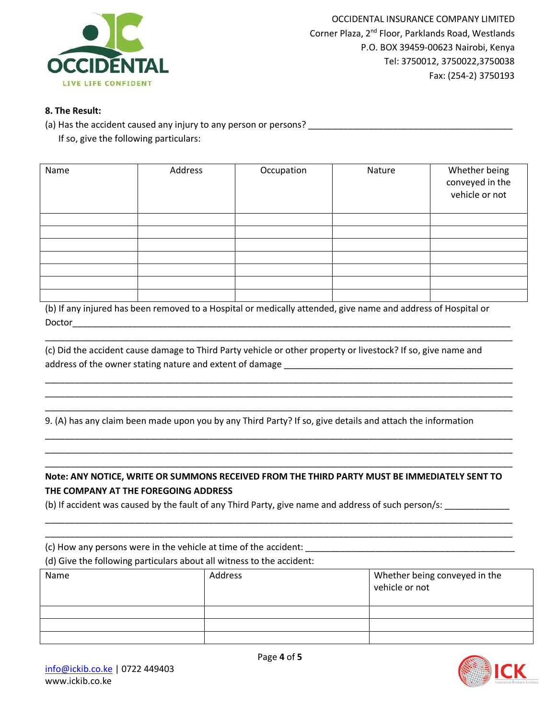

#### **8. The Result:**

(a) Has the accident caused any injury to any person or persons? \_\_\_\_\_\_\_\_\_\_\_\_\_\_\_\_\_\_\_\_\_\_\_\_\_\_\_\_\_\_\_\_\_\_\_\_\_\_\_\_\_ If so, give the following particulars:

| Name | Address | Occupation | Nature | Whether being<br>conveyed in the<br>vehicle or not |
|------|---------|------------|--------|----------------------------------------------------|
|      |         |            |        |                                                    |
|      |         |            |        |                                                    |
|      |         |            |        |                                                    |
|      |         |            |        |                                                    |
|      |         |            |        |                                                    |
|      |         |            |        |                                                    |
|      |         |            |        |                                                    |

(b) If any injured has been removed to a Hospital or medically attended, give name and address of Hospital or Doctor the contract of the contract of  $\mathcal{D}$  and  $\mathcal{D}$  and  $\mathcal{D}$  and  $\mathcal{D}$  and  $\mathcal{D}$  and  $\mathcal{D}$  and  $\mathcal{D}$  and  $\mathcal{D}$  and  $\mathcal{D}$  and  $\mathcal{D}$  and  $\mathcal{D}$  and  $\mathcal{D}$  and  $\mathcal{D}$  and  $\mathcal{D}$  and

\_\_\_\_\_\_\_\_\_\_\_\_\_\_\_\_\_\_\_\_\_\_\_\_\_\_\_\_\_\_\_\_\_\_\_\_\_\_\_\_\_\_\_\_\_\_\_\_\_\_\_\_\_\_\_\_\_\_\_\_\_\_\_\_\_\_\_\_\_\_\_\_\_\_\_\_\_\_\_\_\_\_\_\_\_\_\_\_\_\_\_\_\_\_

\_\_\_\_\_\_\_\_\_\_\_\_\_\_\_\_\_\_\_\_\_\_\_\_\_\_\_\_\_\_\_\_\_\_\_\_\_\_\_\_\_\_\_\_\_\_\_\_\_\_\_\_\_\_\_\_\_\_\_\_\_\_\_\_\_\_\_\_\_\_\_\_\_\_\_\_\_\_\_\_\_\_\_\_\_\_\_\_\_\_\_\_\_\_ \_\_\_\_\_\_\_\_\_\_\_\_\_\_\_\_\_\_\_\_\_\_\_\_\_\_\_\_\_\_\_\_\_\_\_\_\_\_\_\_\_\_\_\_\_\_\_\_\_\_\_\_\_\_\_\_\_\_\_\_\_\_\_\_\_\_\_\_\_\_\_\_\_\_\_\_\_\_\_\_\_\_\_\_\_\_\_\_\_\_\_\_\_\_ \_\_\_\_\_\_\_\_\_\_\_\_\_\_\_\_\_\_\_\_\_\_\_\_\_\_\_\_\_\_\_\_\_\_\_\_\_\_\_\_\_\_\_\_\_\_\_\_\_\_\_\_\_\_\_\_\_\_\_\_\_\_\_\_\_\_\_\_\_\_\_\_\_\_\_\_\_\_\_\_\_\_\_\_\_\_\_\_\_\_\_\_\_\_

\_\_\_\_\_\_\_\_\_\_\_\_\_\_\_\_\_\_\_\_\_\_\_\_\_\_\_\_\_\_\_\_\_\_\_\_\_\_\_\_\_\_\_\_\_\_\_\_\_\_\_\_\_\_\_\_\_\_\_\_\_\_\_\_\_\_\_\_\_\_\_\_\_\_\_\_\_\_\_\_\_\_\_\_\_\_\_\_\_\_\_\_\_\_ \_\_\_\_\_\_\_\_\_\_\_\_\_\_\_\_\_\_\_\_\_\_\_\_\_\_\_\_\_\_\_\_\_\_\_\_\_\_\_\_\_\_\_\_\_\_\_\_\_\_\_\_\_\_\_\_\_\_\_\_\_\_\_\_\_\_\_\_\_\_\_\_\_\_\_\_\_\_\_\_\_\_\_\_\_\_\_\_\_\_\_\_\_\_ \_\_\_\_\_\_\_\_\_\_\_\_\_\_\_\_\_\_\_\_\_\_\_\_\_\_\_\_\_\_\_\_\_\_\_\_\_\_\_\_\_\_\_\_\_\_\_\_\_\_\_\_\_\_\_\_\_\_\_\_\_\_\_\_\_\_\_\_\_\_\_\_\_\_\_\_\_\_\_\_\_\_\_\_\_\_\_\_\_\_\_\_\_\_

(c) Did the accident cause damage to Third Party vehicle or other property or livestock? If so, give name and address of the owner stating nature and extent of damage \_\_\_\_\_\_\_\_\_\_\_\_\_\_\_\_\_\_\_\_\_\_\_\_\_\_\_\_\_\_\_\_\_\_\_\_\_\_\_\_\_\_\_\_\_\_

9. (A) has any claim been made upon you by any Third Party? If so, give details and attach the information

### **Note: ANY NOTICE, WRITE OR SUMMONS RECEIVED FROM THE THIRD PARTY MUST BE IMMEDIATELY SENT TO THE COMPANY AT THE FOREGOING ADDRESS**

\_\_\_\_\_\_\_\_\_\_\_\_\_\_\_\_\_\_\_\_\_\_\_\_\_\_\_\_\_\_\_\_\_\_\_\_\_\_\_\_\_\_\_\_\_\_\_\_\_\_\_\_\_\_\_\_\_\_\_\_\_\_\_\_\_\_\_\_\_\_\_\_\_\_\_\_\_\_\_\_\_\_\_\_\_\_\_\_\_\_\_\_\_\_

(b) If accident was caused by the fault of any Third Party, give name and address of such person/s: \_\_\_\_\_\_\_\_\_\_\_

| (c) How any persons were in the vehicle at time of the accident:<br>(d) Give the following particulars about all witness to the accident: |         |                                                 |
|-------------------------------------------------------------------------------------------------------------------------------------------|---------|-------------------------------------------------|
| Name                                                                                                                                      | Address | Whether being conveyed in the<br>vehicle or not |
|                                                                                                                                           |         |                                                 |
|                                                                                                                                           |         |                                                 |
|                                                                                                                                           |         |                                                 |